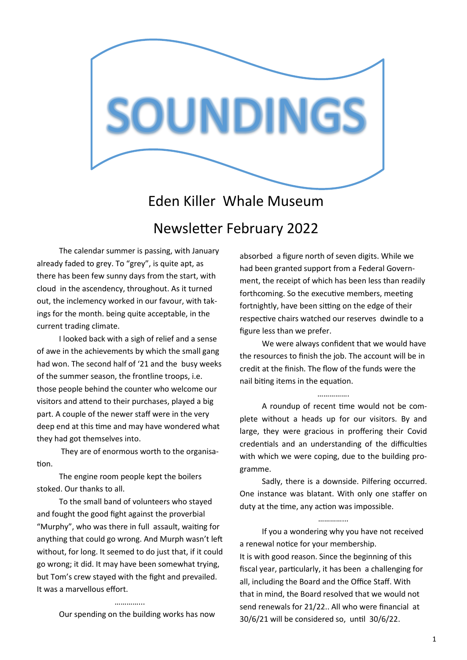

# Eden Killer Whale Museum Newsletter February 2022

The calendar summer is passing, with January already faded to grey. To "grey", is quite apt, as there has been few sunny days from the start, with cloud in the ascendency, throughout. As it turned out, the inclemency worked in our favour, with takings for the month. being quite acceptable, in the current trading climate.

I looked back with a sigh of relief and a sense of awe in the achievements by which the small gang had won. The second half of '21 and the busy weeks of the summer season, the frontline troops, i.e. those people behind the counter who welcome our visitors and attend to their purchases, played a big part. A couple of the newer staff were in the very deep end at this time and may have wondered what they had got themselves into.

They are of enormous worth to the organisation.

The engine room people kept the boilers stoked. Our thanks to all.

To the small band of volunteers who stayed and fought the good fight against the proverbial "Murphy", who was there in full assault, waiting for anything that could go wrong. And Murph wasn't left without, for long. It seemed to do just that, if it could go wrong; it did. It may have been somewhat trying, but Tom's crew stayed with the fight and prevailed. It was a marvellous effort.

Our spending on the building works has now

……………

absorbed a figure north of seven digits. While we had been granted support from a Federal Government, the receipt of which has been less than readily forthcoming. So the executive members, meeting fortnightly, have been sitting on the edge of their respective chairs watched our reserves dwindle to a figure less than we prefer.

We were always confident that we would have the resources to finish the job. The account will be in credit at the finish. The flow of the funds were the nail biting items in the equation.

#### ……………

A roundup of recent time would not be complete without a heads up for our visitors. By and large, they were gracious in proffering their Covid credentials and an understanding of the difficulties with which we were coping, due to the building programme.

Sadly, there is a downside. Pilfering occurred. One instance was blatant. With only one staffer on duty at the time, any action was impossible.

………………

If you a wondering why you have not received a renewal notice for your membership. It is with good reason. Since the beginning of this fiscal year, particularly, it has been a challenging for all, including the Board and the Office Staff. With that in mind, the Board resolved that we would not send renewals for 21/22.. All who were financial at 30/6/21 will be considered so, until 30/6/22.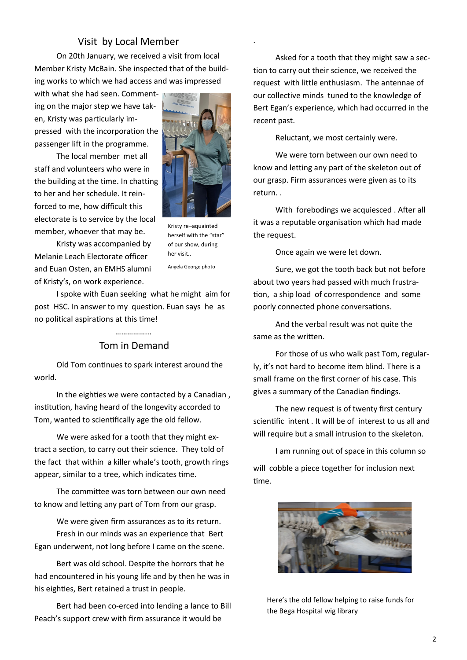### Visit by Local Member

On 20th January, we received a visit from local Member Kristy McBain. She inspected that of the building works to which we had access and was impressed

with what she had seen. Commenting on the major step we have taken, Kristy was particularly impressed with the incorporation the passenger lift in the programme.

The local member met all staff and volunteers who were in the building at the time. In chatting to her and her schedule. It reinforced to me, how difficult this electorate is to service by the local member, whoever that may be.



.

Kristy re–aquainted herself with the "star" of our show, during her visit..

Kristy was accompanied by Melanie Leach Electorate officer and Euan Osten, an EMHS alumni of Kristy's, on work experience.

Angela George photo

I spoke with Euan seeking what he might aim for post HSC. In answer to my question. Euan says he as no political aspirations at this time!

## ………………… Tom in Demand

Old Tom continues to spark interest around the world.

In the eighties we were contacted by a Canadian , institution, having heard of the longevity accorded to Tom, wanted to scientifically age the old fellow.

We were asked for a tooth that they might extract a section, to carry out their science. They told of the fact that within a killer whale's tooth, growth rings appear, similar to a tree, which indicates time.

The committee was torn between our own need to know and letting any part of Tom from our grasp.

We were given firm assurances as to its return. Fresh in our minds was an experience that Bert Egan underwent, not long before I came on the scene.

Bert was old school. Despite the horrors that he had encountered in his young life and by then he was in his eighties, Bert retained a trust in people.

Bert had been co-erced into lending a lance to Bill Peach's support crew with firm assurance it would be

Asked for a tooth that they might saw a section to carry out their science, we received the request with little enthusiasm. The antennae of our collective minds tuned to the knowledge of Bert Egan's experience, which had occurred in the recent past.

Reluctant, we most certainly were.

We were torn between our own need to know and letting any part of the skeleton out of our grasp. Firm assurances were given as to its return. .

With forebodings we acquiesced . After all it was a reputable organisation which had made the request.

Once again we were let down.

Sure, we got the tooth back but not before about two years had passed with much frustration, a ship load of correspondence and some poorly connected phone conversations.

And the verbal result was not quite the same as the written.

For those of us who walk past Tom, regularly, it's not hard to become item blind. There is a small frame on the first corner of his case. This gives a summary of the Canadian findings.

The new request is of twenty first century scientific intent . It will be of interest to us all and will require but a small intrusion to the skeleton.

I am running out of space in this column so will cobble a piece together for inclusion next time.



Here's the old fellow helping to raise funds for the Bega Hospital wig library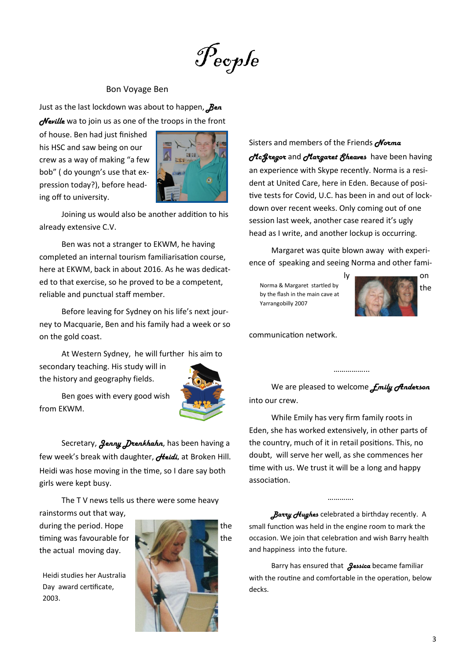$\mathscr{P}_{e}$ ople

#### Bon Voyage Ben

Just as the last lockdown was about to happen, *Ben d*eville wa to join us as one of the troops in the front

of house. Ben had just finished his HSC and saw being on our crew as a way of making "a few bob" ( do youngn's use that expression today?), before heading off to university.



Joining us would also be another addition to his already extensive C.V.

Ben was not a stranger to EKWM, he having completed an internal tourism familiarisation course, here at EKWM, back in about 2016. As he was dedicated to that exercise, so he proved to be a competent, reliable and punctual staff member.

Before leaving for Sydney on his life's next journey to Macquarie, Ben and his family had a week or so on the gold coast.

At Western Sydney, he will further his aim to secondary teaching. His study will in the history and geography fields.



Ben goes with every good wish from EKWM.

Secretary, *Jenny Drenkhahn*, has been having a few week's break with daughter, *Heidi,* at Broken Hill. Heidi was hose moving in the time, so I dare say both girls were kept busy.

The TV news tells us there were some heavy

rainstorms out that way, the actual moving day.

Heidi studies her Australia Day award certificate, 2003.



Sisters and members of the Friends *Norma McGregor* and *Margaret Sheaves* have been having an experience with Skype recently. Norma is a resident at United Care, here in Eden. Because of positive tests for Covid, U.C. has been in and out of lockdown over recent weeks. Only coming out of one session last week, another case reared it's ugly head as I write, and another lockup is occurring.

Margaret was quite blown away with experience of speaking and seeing Norma and other fami-

Norma & Margaret startled by by the flash in the main cave at Yarrangobilly 2007



communication network.

We are pleased to welcome *Emily Anderson*  into our crew.

……………...

While Emily has very firm family roots in Eden, she has worked extensively, in other parts of the country, much of it in retail positions. This, no doubt, will serve her well, as she commences her time with us. We trust it will be a long and happy association.

*Barry Hughes* celebrated a birthday recently. A small function was held in the engine room to mark the occasion. We join that celebration and wish Barry health and happiness into the future.

…………

Barry has ensured that *Jessica* became familiar with the routine and comfortable in the operation, below decks.